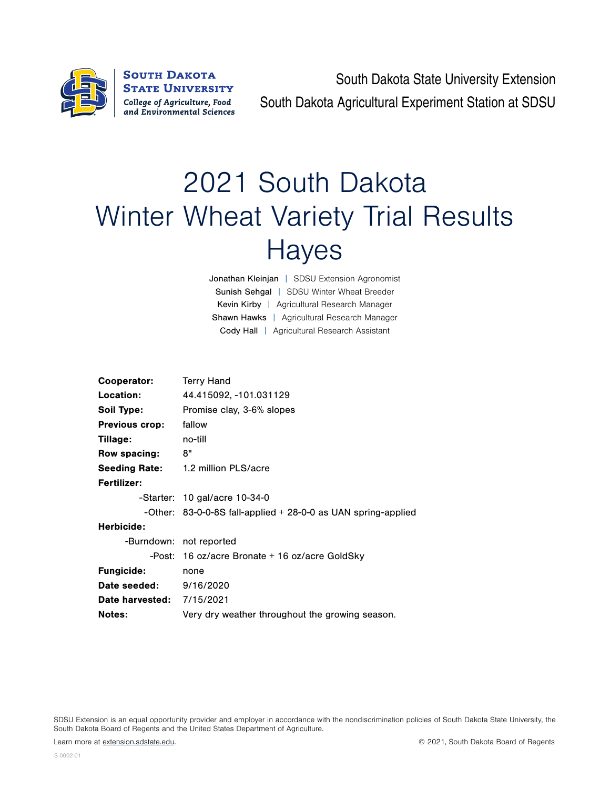

South Dakota State University Extension South Dakota Agricultural Experiment Station at SDSU

## 2021 South Dakota Winter Wheat Variety Trial Results **Hayes**

Jonathan Kleinjan | SDSU Extension Agronomist Sunish Sehgal | SDSU Winter Wheat Breeder Kevin Kirby | Agricultural Research Manager Shawn Hawks | Agricultural Research Manager Cody Hall | Agricultural Research Assistant

| Cooperator:                      | <b>Terry Hand</b>                                                |  |  |  |  |  |
|----------------------------------|------------------------------------------------------------------|--|--|--|--|--|
| Location:                        | 44.415092, -101.031129                                           |  |  |  |  |  |
| Soil Type:                       | Promise clay, 3-6% slopes                                        |  |  |  |  |  |
| <b>Previous crop:</b>            | fallow                                                           |  |  |  |  |  |
| Tillage:                         | no-till                                                          |  |  |  |  |  |
| Row spacing:                     | 8"                                                               |  |  |  |  |  |
|                                  | Seeding Rate: 1.2 million PLS/acre                               |  |  |  |  |  |
| Fertilizer:                      |                                                                  |  |  |  |  |  |
|                                  | -Starter: 10 gal/acre 10-34-0                                    |  |  |  |  |  |
|                                  | -Other: $83-0-0-8S$ fall-applied $+28-0-0$ as UAN spring-applied |  |  |  |  |  |
| Herbicide:                       |                                                                  |  |  |  |  |  |
|                                  | -Burndown: not reported                                          |  |  |  |  |  |
|                                  | -Post: 16 oz/acre Bronate + 16 oz/acre GoldSky                   |  |  |  |  |  |
| <b>Fungicide:</b>                | none                                                             |  |  |  |  |  |
| Date seeded:                     | 9/16/2020                                                        |  |  |  |  |  |
| <b>Date harvested: 7/15/2021</b> |                                                                  |  |  |  |  |  |
| <b>Notes:</b>                    | Very dry weather throughout the growing season.                  |  |  |  |  |  |

SDSU Extension is an equal opportunity provider and employer in accordance with the nondiscrimination policies of South Dakota State University, the South Dakota Board of Regents and the United States Department of Agriculture.